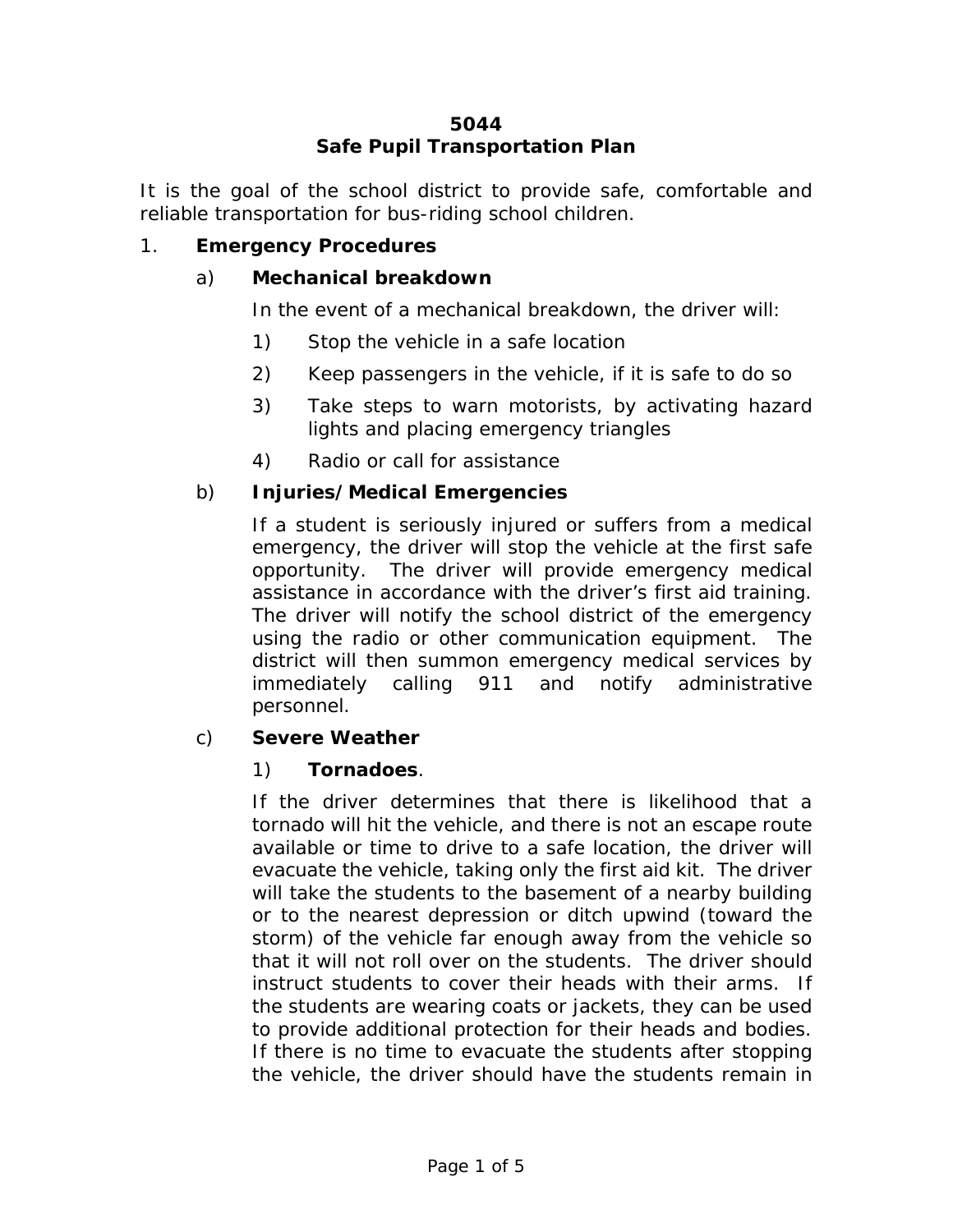### **5044 Safe Pupil Transportation Plan**

It is the goal of the school district to provide safe, comfortable and reliable transportation for bus-riding school children.

### 1. **Emergency Procedures**

#### a) **Mechanical breakdown**

In the event of a mechanical breakdown, the driver will:

- 1) Stop the vehicle in a safe location
- 2) Keep passengers in the vehicle, if it is safe to do so
- 3) Take steps to warn motorists, by activating hazard lights and placing emergency triangles
- 4) Radio or call for assistance

### b) **Injuries/Medical Emergencies**

If a student is seriously injured or suffers from a medical emergency, the driver will stop the vehicle at the first safe opportunity. The driver will provide emergency medical assistance in accordance with the driver's first aid training. The driver will notify the school district of the emergency using the radio or other communication equipment. The district will then summon emergency medical services by immediately calling 911 and notify administrative personnel.

### c) **Severe Weather**

### 1) **Tornadoes**.

If the driver determines that there is likelihood that a tornado will hit the vehicle, and there is not an escape route available or time to drive to a safe location, the driver will evacuate the vehicle, taking only the first aid kit. The driver will take the students to the basement of a nearby building or to the nearest depression or ditch upwind (toward the storm) of the vehicle far enough away from the vehicle so that it will not roll over on the students. The driver should instruct students to cover their heads with their arms. If the students are wearing coats or jackets, they can be used to provide additional protection for their heads and bodies. If there is no time to evacuate the students after stopping the vehicle, the driver should have the students remain in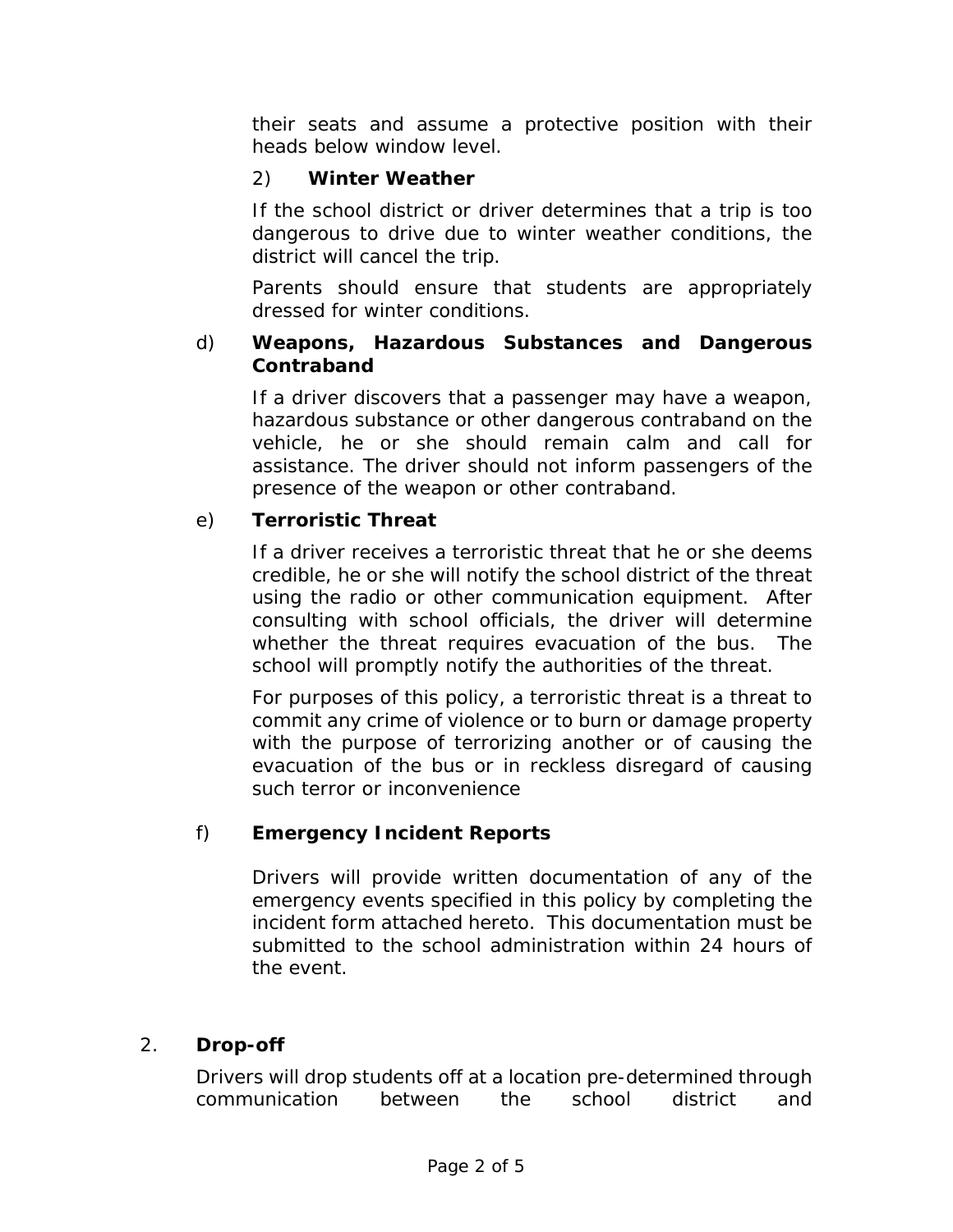their seats and assume a protective position with their heads below window level.

# 2) **Winter Weather**

If the school district or driver determines that a trip is too dangerous to drive due to winter weather conditions, the district will cancel the trip.

Parents should ensure that students are appropriately dressed for winter conditions.

#### d) **Weapons, Hazardous Substances and Dangerous Contraband**

If a driver discovers that a passenger may have a weapon, hazardous substance or other dangerous contraband on the vehicle, he or she should remain calm and call for assistance. The driver should not inform passengers of the presence of the weapon or other contraband.

# e) **Terroristic Threat**

If a driver receives a terroristic threat that he or she deems credible, he or she will notify the school district of the threat using the radio or other communication equipment. After consulting with school officials, the driver will determine whether the threat requires evacuation of the bus. The school will promptly notify the authorities of the threat.

For purposes of this policy, a terroristic threat is a threat to commit any crime of violence or to burn or damage property with the purpose of terrorizing another or of causing the evacuation of the bus or in reckless disregard of causing such terror or inconvenience

# f) **Emergency Incident Reports**

Drivers will provide written documentation of any of the emergency events specified in this policy by completing the incident form attached hereto. This documentation must be submitted to the school administration within 24 hours of the event.

### 2. **Drop-off**

Drivers will drop students off at a location pre-determined through communication between the school district and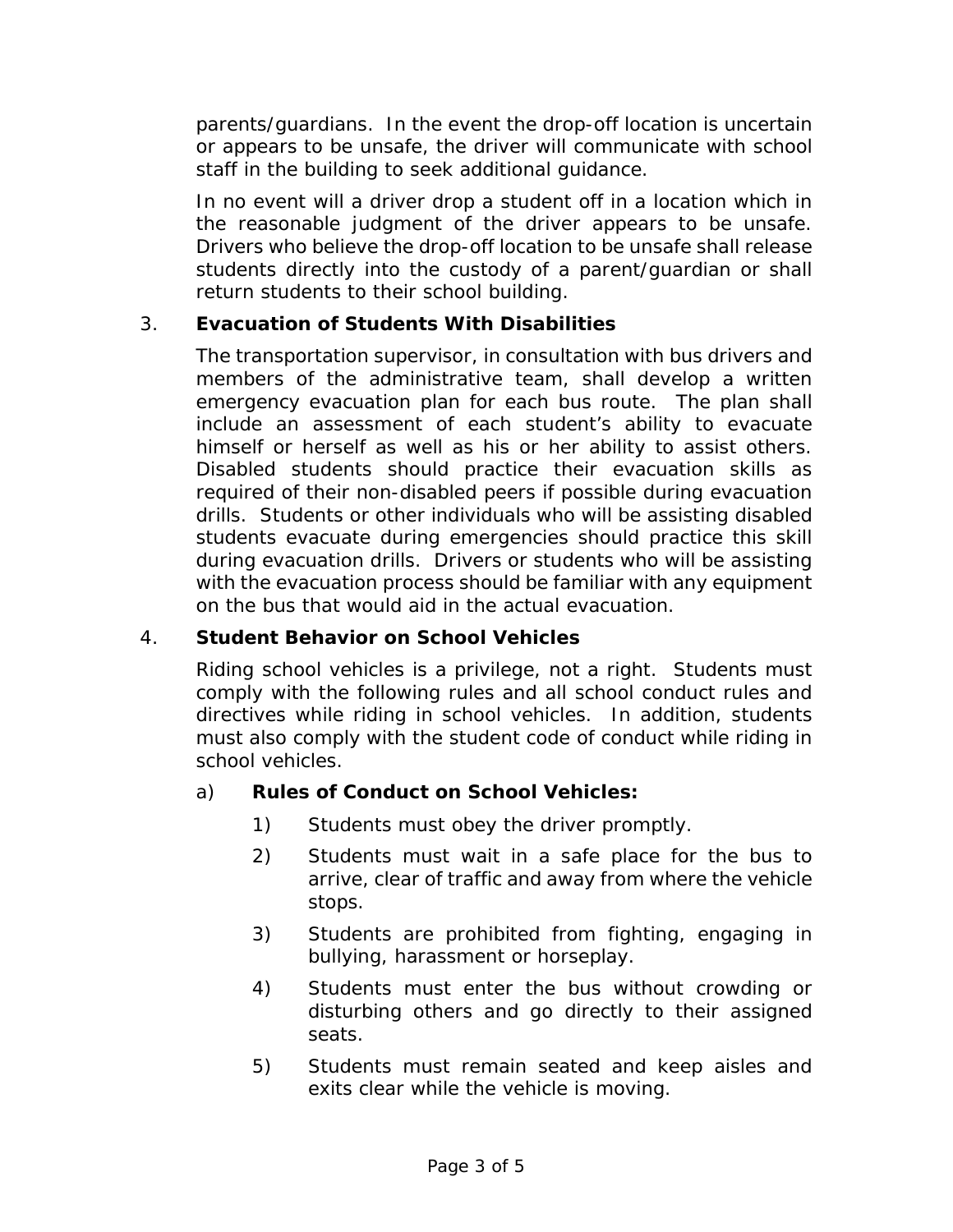parents/guardians. In the event the drop-off location is uncertain or appears to be unsafe, the driver will communicate with school staff in the building to seek additional guidance.

In no event will a driver drop a student off in a location which in the reasonable judgment of the driver appears to be unsafe. Drivers who believe the drop-off location to be unsafe shall release students directly into the custody of a parent/guardian or shall return students to their school building.

### 3. **Evacuation of Students With Disabilities**

The transportation supervisor, in consultation with bus drivers and members of the administrative team, shall develop a written emergency evacuation plan for each bus route. The plan shall include an assessment of each student's ability to evacuate himself or herself as well as his or her ability to assist others. Disabled students should practice their evacuation skills as required of their non-disabled peers if possible during evacuation drills. Students or other individuals who will be assisting disabled students evacuate during emergencies should practice this skill during evacuation drills. Drivers or students who will be assisting with the evacuation process should be familiar with any equipment on the bus that would aid in the actual evacuation.

### 4. **Student Behavior on School Vehicles**

Riding school vehicles is a privilege, not a right. Students must comply with the following rules and all school conduct rules and directives while riding in school vehicles. In addition, students must also comply with the student code of conduct while riding in school vehicles.

### a) **Rules of Conduct on School Vehicles:**

- 1) Students must obey the driver promptly.
- 2) Students must wait in a safe place for the bus to arrive, clear of traffic and away from where the vehicle stops.
- 3) Students are prohibited from fighting, engaging in bullying, harassment or horseplay.
- 4) Students must enter the bus without crowding or disturbing others and go directly to their assigned seats.
- 5) Students must remain seated and keep aisles and exits clear while the vehicle is moving.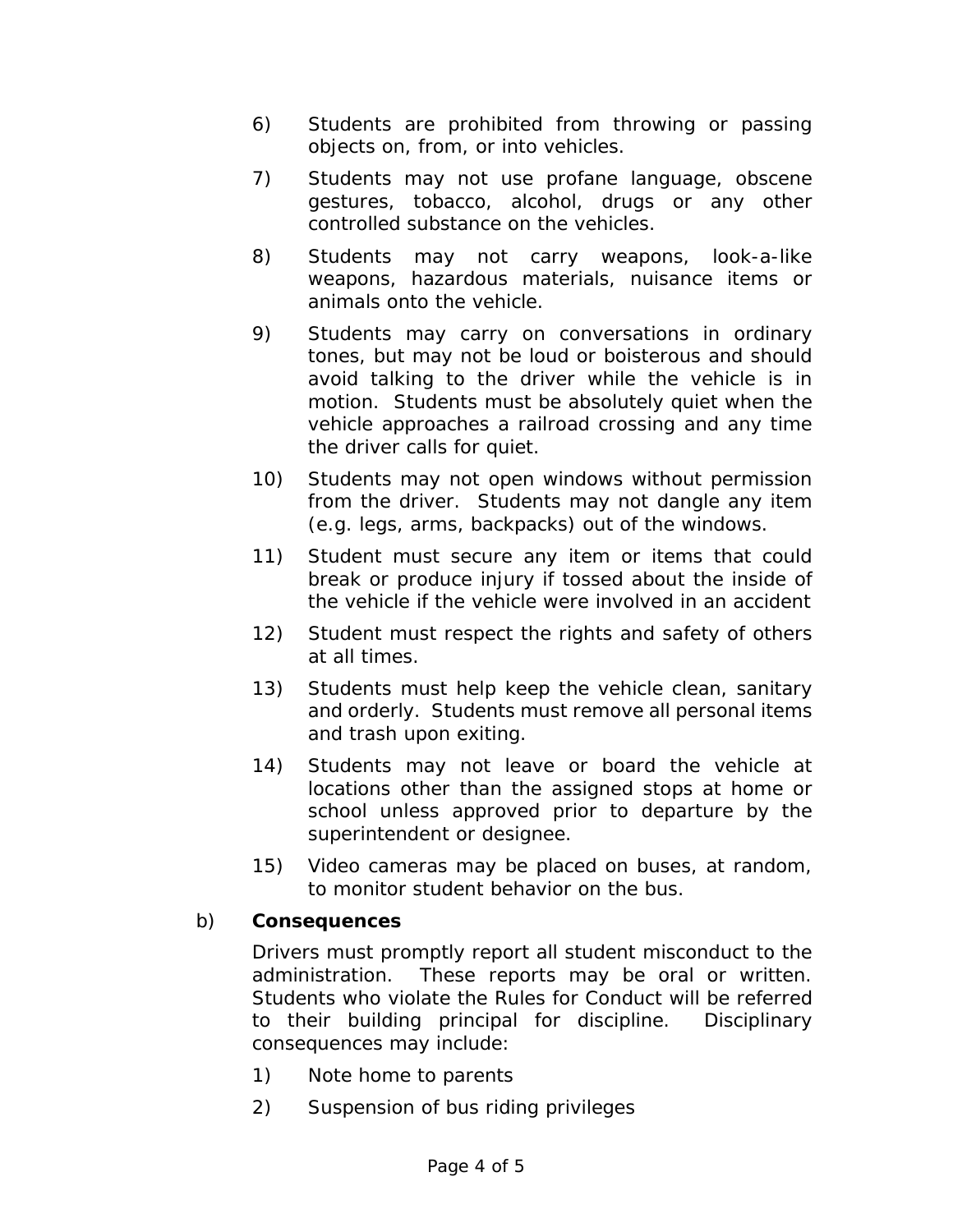- 6) Students are prohibited from throwing or passing objects on, from, or into vehicles.
- 7) Students may not use profane language, obscene gestures, tobacco, alcohol, drugs or any other controlled substance on the vehicles.
- 8) Students may not carry weapons, look-a-like weapons, hazardous materials, nuisance items or animals onto the vehicle.
- 9) Students may carry on conversations in ordinary tones, but may not be loud or boisterous and should avoid talking to the driver while the vehicle is in motion. Students must be absolutely quiet when the vehicle approaches a railroad crossing and any time the driver calls for quiet.
- 10) Students may not open windows without permission from the driver. Students may not dangle any item (e.g. legs, arms, backpacks) out of the windows.
- 11) Student must secure any item or items that could break or produce injury if tossed about the inside of the vehicle if the vehicle were involved in an accident
- 12) Student must respect the rights and safety of others at all times.
- 13) Students must help keep the vehicle clean, sanitary and orderly. Students must remove all personal items and trash upon exiting.
- 14) Students may not leave or board the vehicle at locations other than the assigned stops at home or school unless approved prior to departure by the superintendent or designee.
- 15) Video cameras may be placed on buses, at random, to monitor student behavior on the bus.

# b) **Consequences**

Drivers must promptly report all student misconduct to the administration. These reports may be oral or written. Students who violate the Rules for Conduct will be referred to their building principal for discipline. Disciplinary consequences may include:

- 1) Note home to parents
- 2) Suspension of bus riding privileges